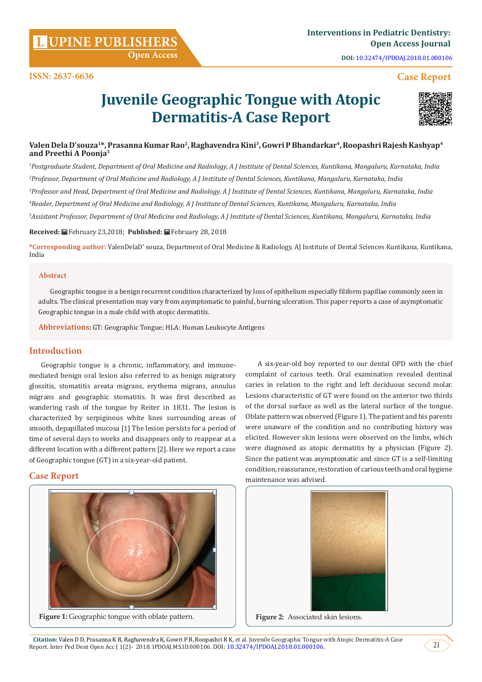**Citation:** Valen D D, Prasanna K R, Raghavendra K, Gowri P B, Roopashri R K, et al. Juvenile Geographic Tongue with Atopic Dermatitis-A Case Report. Inter Ped Dent Open Acc J 1(2)- 2018. IPDOAJ.MS.ID.000106. DOI: [10.32474/IPDOAJ.2018.01.000106.](http://dx.doi.org/10.32474/IPDOAJ.2018.01.000106) 21

**DOI:** [10.32474/IPDOAJ.2018.01.000106](http://dx.doi.org/10.32474/IPDOAJ.2018.01.000106)

# **Case Report**

# **Juvenile Geographic Tongue with Atopic Dermatitis-A Case Report**

# **Valen Dela D'souza1\*, Prasanna Kumar Rao2, Raghavendra Kini3, Gowri P Bhandarkar4, Roopashri Rajesh Kashyap4 and Preethi A Poonja5**

 *Postgraduate Student, Department of Oral Medicine and Radiology, A J Institute of Dental Sciences, Kuntikana, Mangaluru, Karnataka, India Professor, Department of Oral Medicine and Radiology, A J Institute of Dental Sciences, Kuntikana, Mangaluru, Karnataka, India Professor and Head, Department of Oral Medicine and Radiology, A J Institute of Dental Sciences, Kuntikana, Mangaluru, Karnataka, India Reader, Department of Oral Medicine and Radiology, A J Institute of Dental Sciences, Kuntikana, Mangaluru, Karnataka, India Assistant Professor, Department of Oral Medicine and Radiology, A J Institute of Dental Sciences, Kuntikana, Mangaluru, Karnataka, India*

**Received:** February 23,2018; **Published:** February 28, 2018

**\*Corresponding author:** ValenDelaD' souza, Department of Oral Medicine & Radiology, AJ Institute of Dental Sciences Kuntikana, Kuntikana, India

#### **Abstract**

Geographic tongue is a benign recurrent condition characterized by loss of epithelium especially filiform papillae commonly seen in adults. The clinical presentation may vary from asymptomatic to painful, burning ulceration. This paper reports a case of asymptomatic Geographic tongue in a male child with atopic dermatitis.

**Abbreviations:** GT: Geographic Tongue; HLA: Human Leukocyte Antigens

# **Introduction**

Geographic tongue is a chronic, inflammatory, and immunemediated benign oral lesion also referred to as benign migratory glossitis, stomatitis areata migrans, erythema migrans, annulus migrans and geographic stomatitis. It was first described as wandering rash of the tongue by Reiter in 1831. The lesion is characterized by serpiginous white lines surrounding areas of smooth, depapillated mucosa [1] The lesion persists for a period of time of several days to weeks and disappears only to reappear at a different location with a different pattern [2]. Here we report a case of Geographic tongue (GT) in a six-year-old patient.

# **Case Report**



**Figure 1:** Geographic tongue with oblate pattern.

A six-year-old boy reported to our dental OPD with the chief complaint of carious teeth. Oral examination revealed dentinal caries in relation to the right and left deciduous second molar. Lesions characteristic of GT were found on the anterior two thirds of the dorsal surface as well as the lateral surface of the tongue. Oblate pattern was observed (Figure 1). The patient and his parents were unaware of the condition and no contributing history was elicited. However skin lesions were observed on the limbs, which were diagnosed as atopic dermatitis by a physician (Figure 2). Since the patient was asymptomatic and since GT is a self-limiting condition, reassurance, restoration of carious teeth and oral hygiene maintenance was advised.







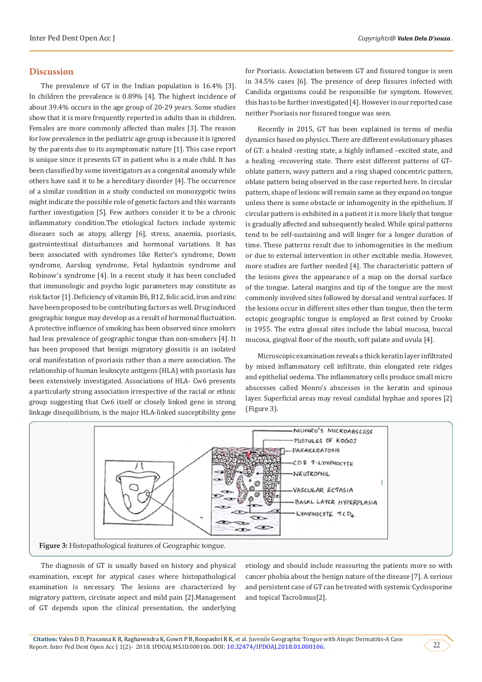#### **Discussion**

The prevalence of GT in the Indian population is 16.4% [3]. In children the prevalence is 0.89% [4]. The highest incidence of about 39.4% occurs in the age group of 20-29 years. Some studies show that it is more frequently reported in adults than in children. Females are more commonly affected than males [3]. The reason for low prevalence in the pediatric age group is because it is ignored by the parents due to its asymptomatic nature [1]. This case report is unique since it presents GT in patient who is a male child. It has been classified by some investigators as a congenital anomaly while others have said it to be a hereditary disorder [4]. The occurrence of a similar condition in a study conducted on monozygotic twins might indicate the possible role of genetic factors and this warrants further investigation [5]. Few authors consider it to be a chronic inflammatory condition.The etiological factors include systemic diseases such as atopy, allergy [6], stress, anaemia, psoriasis, gastrointestinal disturbances and hormonal variations. It has been associated with syndromes like Reiter's syndrome, Down syndrome, Aarskog syndrome, Fetal hydantoin syndrome and Robinow's syndrome [4]. In a recent study it has been concluded that immunologic and psycho logic parameters may constitute as risk factor [1] .Deficiency of vitamin B6, B12, folic acid, iron and zinc have been proposed to be contributing factors as well. Drug induced geographic tongue may develop as a result of hormonal fluctuation. A protective influence of smoking has been observed since smokers had less prevalence of geographic tongue than non-smokers [4]. It has been proposed that benign migratory glossitis is an isolated oral manifestation of psoriasis rather than a mere association. The relationship of human leukocyte antigens (HLA) with psoriasis has been extensively investigated. Associations of HLA- Cw6 presents a particularly strong association irrespective of the racial or ethnic group suggesting that Cw6 itself or closely linked gene in strong linkage disequilibrium, is the major HLA-linked susceptibility gene

for Psoriasis. Association between GT and fissured tongue is seen in 34.5% cases [6]. The presence of deep fissures infected with Candida organisms could be responsible for symptom. However, this has to be further investigated [4]. However in our reported case neither Psoriasis nor fissured tongue was seen.

Recently in 2015, GT has been explained in terms of media dynamics based on physics. There are different evolutionary phases of GT: a healed -resting state, a highly inflamed –excited state, and a healing -recovering state. There exist different patterns of GT– oblate pattern, wavy pattern and a ring shaped concentric pattern, oblate pattern being observed in the case reported here. In circular pattern, shape of lesions will remain same as they expand on tongue unless there is some obstacle or inhomogenity in the epithelium. If circular pattern is exhibited in a patient it is more likely that tongue is gradually affected and subsequently healed. While spiral patterns tend to be self-sustaining and will linger for a longer duration of time. These patterns result due to inhomogenities in the medium or due to external intervention in other excitable media. However, more studies are further needed [4]. The characteristic pattern of the lesions gives the appearance of a map on the dorsal surface of the tongue. Lateral margins and tip of the tongue are the most commonly involved sites followed by dorsal and ventral surfaces. If the lesions occur in different sites other than tongue, then the term ectopic geographic tongue is employed as first coined by Crooke in 1955. The extra glossal sites include the labial mucosa, buccal mucosa, gingival floor of the mouth, soft palate and uvula [4].

Microscopic examination reveals a thick keratin layer infiltrated by mixed inflammatory cell infiltrate, thin elongated rete ridges and epithelial oedema. The inflammatory cells produce small micro abscesses called Monro's abscesses in the keratin and spinous layer. Superficial areas may reveal candidal hyphae and spores [2] (Figure 3).



The diagnosis of GT is usually based on history and physical examination, except for atypical cases where histopathological examination is necessary. The lesions are characterized by migratory pattern, circinate aspect and mild pain [2].Management of GT depends upon the clinical presentation, the underlying etiology and should include reassuring the patients more so with cancer phobia about the benign nature of the disease [7]. A serious and persistent case of GT can be treated with systemic Cyclosporine and topical Tacrolimus[2].